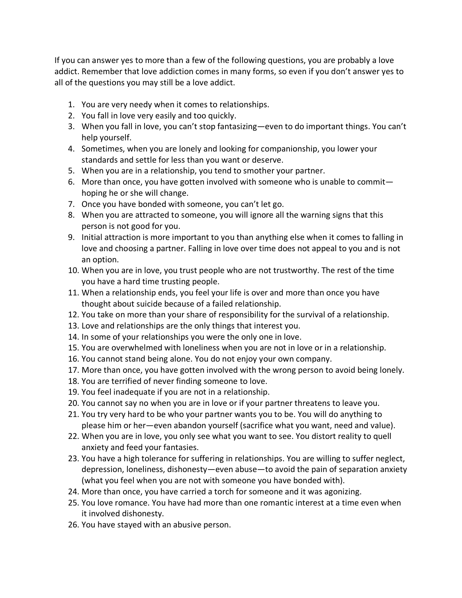If you can answer yes to more than a few of the following questions, you are probably a love addict. Remember that love addiction comes in many forms, so even if you don't answer yes to all of the questions you may still be a love addict.

- 1. You are very needy when it comes to relationships.
- 2. You fall in love very easily and too quickly.
- 3. When you fall in love, you can't stop fantasizing—even to do important things. You can't help yourself.
- 4. Sometimes, when you are lonely and looking for companionship, you lower your standards and settle for less than you want or deserve.
- 5. When you are in a relationship, you tend to smother your partner.
- 6. More than once, you have gotten involved with someone who is unable to commit hoping he or she will change.
- 7. Once you have bonded with someone, you can't let go.
- 8. When you are attracted to someone, you will ignore all the warning signs that this person is not good for you.
- 9. Initial attraction is more important to you than anything else when it comes to falling in love and choosing a partner. Falling in love over time does not appeal to you and is not an option.
- 10. When you are in love, you trust people who are not trustworthy. The rest of the time you have a hard time trusting people.
- 11. When a relationship ends, you feel your life is over and more than once you have thought about suicide because of a failed relationship.
- 12. You take on more than your share of responsibility for the survival of a relationship.
- 13. Love and relationships are the only things that interest you.
- 14. In some of your relationships you were the only one in love.
- 15. You are overwhelmed with loneliness when you are not in love or in a relationship.
- 16. You cannot stand being alone. You do not enjoy your own company.
- 17. More than once, you have gotten involved with the wrong person to avoid being lonely.
- 18. You are terrified of never finding someone to love.
- 19. You feel inadequate if you are not in a relationship.
- 20. You cannot say no when you are in love or if your partner threatens to leave you.
- 21. You try very hard to be who your partner wants you to be. You will do anything to please him or her—even abandon yourself (sacrifice what you want, need and value).
- 22. When you are in love, you only see what you want to see. You distort reality to quell anxiety and feed your fantasies.
- 23. You have a high tolerance for suffering in relationships. You are willing to suffer neglect, depression, loneliness, dishonesty—even abuse—to avoid the pain of separation anxiety (what you feel when you are not with someone you have bonded with).
- 24. More than once, you have carried a torch for someone and it was agonizing.
- 25. You love romance. You have had more than one romantic interest at a time even when it involved dishonesty.
- 26. You have stayed with an abusive person.